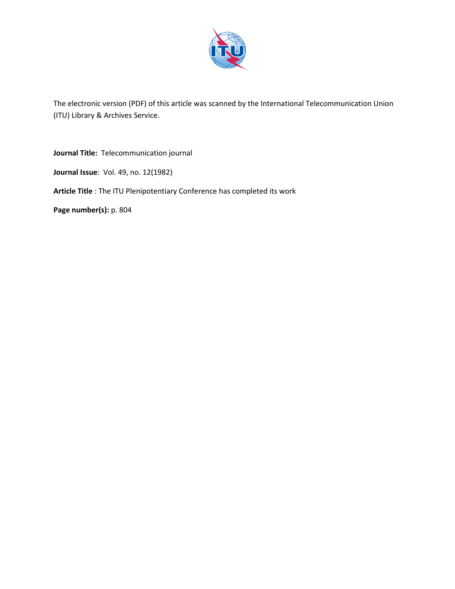

The electronic version (PDF) of this article was scanned by the International Telecommunication Union (ITU) Library & Archives Service.

**Journal Title:** Telecommunication journal

**Journal Issue**: Vol. 49, no. 12(1982)

**Article Title** : The ITU Plenipotentiary Conference has completed its work

**Page number(s):** p. 804